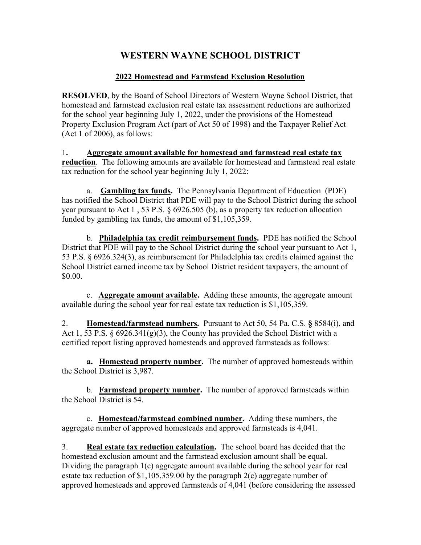## WESTERN WAYNE SCHOOL DISTRICT

## 2022 Homestead and Farmstead Exclusion Resolution

RESOLVED, by the Board of School Directors of Western Wayne School District, that homestead and farmstead exclusion real estate tax assessment reductions are authorized for the school year beginning July 1, 2022, under the provisions of the Homestead Property Exclusion Program Act (part of Act 50 of 1998) and the Taxpayer Relief Act (Act 1 of 2006), as follows:

1. Aggregate amount available for homestead and farmstead real estate tax reduction. The following amounts are available for homestead and farmstead real estate tax reduction for the school year beginning July 1, 2022:

 a. Gambling tax funds. The Pennsylvania Department of Education (PDE) has notified the School District that PDE will pay to the School District during the school year pursuant to Act 1 , 53 P.S. § 6926.505 (b), as a property tax reduction allocation funded by gambling tax funds, the amount of \$1,105,359.

 b. Philadelphia tax credit reimbursement funds. PDE has notified the School District that PDE will pay to the School District during the school year pursuant to Act 1, 53 P.S. § 6926.324(3), as reimbursement for Philadelphia tax credits claimed against the School District earned income tax by School District resident taxpayers, the amount of \$0.00.

c. **Aggregate amount available.** Adding these amounts, the aggregate amount available during the school year for real estate tax reduction is \$1,105,359.

2. **Homestead/farmstead numbers.** Pursuant to Act 50, 54 Pa. C.S. § 8584(i), and Act 1, 53 P.S.  $\S$  6926.341(g)(3), the County has provided the School District with a certified report listing approved homesteads and approved farmsteads as follows:

a. Homestead property number. The number of approved homesteads within the School District is 3,987.

 b. Farmstead property number. The number of approved farmsteads within the School District is 54.

 c. Homestead/farmstead combined number. Adding these numbers, the aggregate number of approved homesteads and approved farmsteads is 4,041.

3. Real estate tax reduction calculation. The school board has decided that the homestead exclusion amount and the farmstead exclusion amount shall be equal. Dividing the paragraph 1(c) aggregate amount available during the school year for real estate tax reduction of \$1,105,359.00 by the paragraph 2(c) aggregate number of approved homesteads and approved farmsteads of 4,041 (before considering the assessed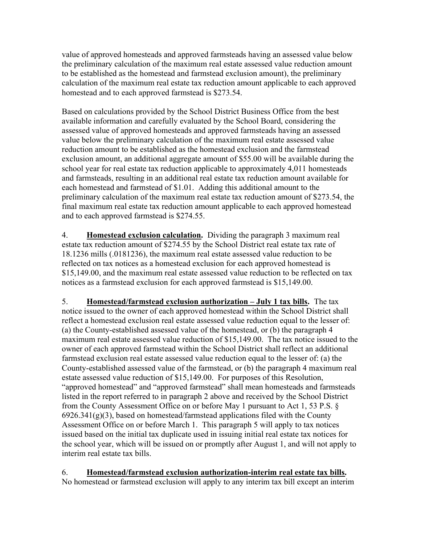value of approved homesteads and approved farmsteads having an assessed value below the preliminary calculation of the maximum real estate assessed value reduction amount to be established as the homestead and farmstead exclusion amount), the preliminary calculation of the maximum real estate tax reduction amount applicable to each approved homestead and to each approved farmstead is \$273.54.

Based on calculations provided by the School District Business Office from the best available information and carefully evaluated by the School Board, considering the assessed value of approved homesteads and approved farmsteads having an assessed value below the preliminary calculation of the maximum real estate assessed value reduction amount to be established as the homestead exclusion and the farmstead exclusion amount, an additional aggregate amount of \$55.00 will be available during the school year for real estate tax reduction applicable to approximately 4,011 homesteads and farmsteads, resulting in an additional real estate tax reduction amount available for each homestead and farmstead of \$1.01. Adding this additional amount to the preliminary calculation of the maximum real estate tax reduction amount of \$273.54, the final maximum real estate tax reduction amount applicable to each approved homestead and to each approved farmstead is \$274.55.

4. Homestead exclusion calculation. Dividing the paragraph 3 maximum real estate tax reduction amount of \$274.55 by the School District real estate tax rate of 18.1236 mills (.0181236), the maximum real estate assessed value reduction to be reflected on tax notices as a homestead exclusion for each approved homestead is \$15,149.00, and the maximum real estate assessed value reduction to be reflected on tax notices as a farmstead exclusion for each approved farmstead is \$15,149.00.

5. **Homestead/farmstead exclusion authorization – July 1 tax bills.** The tax notice issued to the owner of each approved homestead within the School District shall reflect a homestead exclusion real estate assessed value reduction equal to the lesser of: (a) the County-established assessed value of the homestead, or (b) the paragraph 4 maximum real estate assessed value reduction of \$15,149.00. The tax notice issued to the owner of each approved farmstead within the School District shall reflect an additional farmstead exclusion real estate assessed value reduction equal to the lesser of: (a) the County-established assessed value of the farmstead, or (b) the paragraph 4 maximum real estate assessed value reduction of \$15,149.00. For purposes of this Resolution, "approved homestead" and "approved farmstead" shall mean homesteads and farmsteads listed in the report referred to in paragraph 2 above and received by the School District from the County Assessment Office on or before May 1 pursuant to Act 1, 53 P.S. §  $6926.341(g)(3)$ , based on homestead/farmstead applications filed with the County Assessment Office on or before March 1. This paragraph 5 will apply to tax notices issued based on the initial tax duplicate used in issuing initial real estate tax notices for the school year, which will be issued on or promptly after August 1, and will not apply to interim real estate tax bills.

6. Homestead/farmstead exclusion authorization-interim real estate tax bills. No homestead or farmstead exclusion will apply to any interim tax bill except an interim